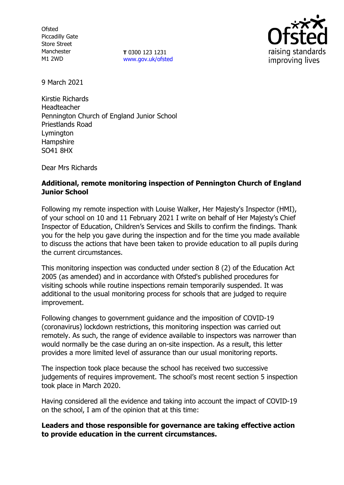**Ofsted** Piccadilly Gate Store Street Manchester M1 2WD

**T** 0300 123 1231 [www.gov.uk/ofsted](http://www.gov.uk/ofsted)



9 March 2021

Kirstie Richards Headteacher Pennington Church of England Junior School Priestlands Road Lymington Hampshire SO41 8HX

Dear Mrs Richards

# **Additional, remote monitoring inspection of Pennington Church of England Junior School**

Following my remote inspection with Louise Walker, Her Majesty's Inspector (HMI), of your school on 10 and 11 February 2021 I write on behalf of Her Majesty's Chief Inspector of Education, Children's Services and Skills to confirm the findings. Thank you for the help you gave during the inspection and for the time you made available to discuss the actions that have been taken to provide education to all pupils during the current circumstances.

This monitoring inspection was conducted under section 8 (2) of the Education Act 2005 (as amended) and in accordance with Ofsted's published procedures for visiting schools while routine inspections remain temporarily suspended. It was additional to the usual monitoring process for schools that are judged to require improvement.

Following changes to government guidance and the imposition of COVID-19 (coronavirus) lockdown restrictions, this monitoring inspection was carried out remotely. As such, the range of evidence available to inspectors was narrower than would normally be the case during an on-site inspection. As a result, this letter provides a more limited level of assurance than our usual monitoring reports.

The inspection took place because the school has received two successive judgements of requires improvement. The school's most recent section 5 inspection took place in March 2020.

Having considered all the evidence and taking into account the impact of COVID-19 on the school, I am of the opinion that at this time:

## **Leaders and those responsible for governance are taking effective action to provide education in the current circumstances.**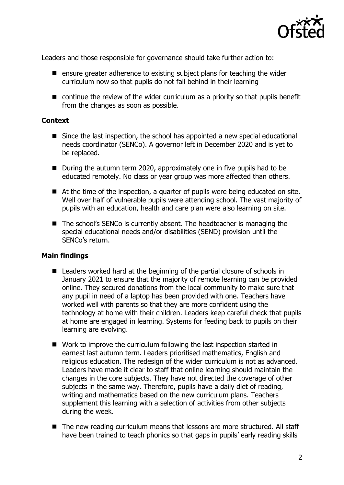

Leaders and those responsible for governance should take further action to:

- $\blacksquare$  ensure greater adherence to existing subject plans for teaching the wider curriculum now so that pupils do not fall behind in their learning
- continue the review of the wider curriculum as a priority so that pupils benefit from the changes as soon as possible.

### **Context**

- Since the last inspection, the school has appointed a new special educational needs coordinator (SENCo). A governor left in December 2020 and is yet to be replaced.
- During the autumn term 2020, approximately one in five pupils had to be educated remotely. No class or year group was more affected than others.
- At the time of the inspection, a quarter of pupils were being educated on site. Well over half of vulnerable pupils were attending school. The vast majority of pupils with an education, health and care plan were also learning on site.
- The school's SENCo is currently absent. The headteacher is managing the special educational needs and/or disabilities (SEND) provision until the SENCo's return.

## **Main findings**

- Leaders worked hard at the beginning of the partial closure of schools in January 2021 to ensure that the majority of remote learning can be provided online. They secured donations from the local community to make sure that any pupil in need of a laptop has been provided with one. Teachers have worked well with parents so that they are more confident using the technology at home with their children. Leaders keep careful check that pupils at home are engaged in learning. Systems for feeding back to pupils on their learning are evolving.
- Work to improve the curriculum following the last inspection started in earnest last autumn term. Leaders prioritised mathematics, English and religious education. The redesign of the wider curriculum is not as advanced. Leaders have made it clear to staff that online learning should maintain the changes in the core subjects. They have not directed the coverage of other subjects in the same way. Therefore, pupils have a daily diet of reading, writing and mathematics based on the new curriculum plans. Teachers supplement this learning with a selection of activities from other subjects during the week.
- The new reading curriculum means that lessons are more structured. All staff have been trained to teach phonics so that gaps in pupils' early reading skills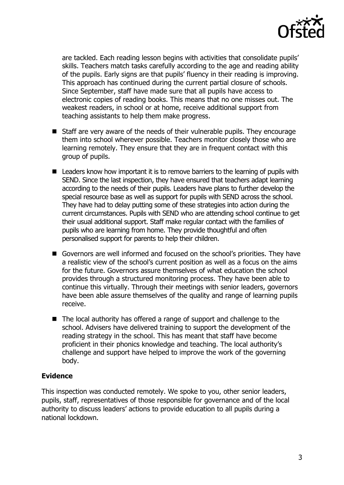

are tackled. Each reading lesson begins with activities that consolidate pupils' skills. Teachers match tasks carefully according to the age and reading ability of the pupils. Early signs are that pupils' fluency in their reading is improving. This approach has continued during the current partial closure of schools. Since September, staff have made sure that all pupils have access to electronic copies of reading books. This means that no one misses out. The weakest readers, in school or at home, receive additional support from teaching assistants to help them make progress.

- Staff are very aware of the needs of their vulnerable pupils. They encourage them into school wherever possible. Teachers monitor closely those who are learning remotely. They ensure that they are in frequent contact with this group of pupils.
- Leaders know how important it is to remove barriers to the learning of pupils with SEND. Since the last inspection, they have ensured that teachers adapt learning according to the needs of their pupils. Leaders have plans to further develop the special resource base as well as support for pupils with SEND across the school. They have had to delay putting some of these strategies into action during the current circumstances. Pupils with SEND who are attending school continue to get their usual additional support. Staff make regular contact with the families of pupils who are learning from home. They provide thoughtful and often personalised support for parents to help their children.
- Governors are well informed and focused on the school's priorities. They have a realistic view of the school's current position as well as a focus on the aims for the future. Governors assure themselves of what education the school provides through a structured monitoring process. They have been able to continue this virtually. Through their meetings with senior leaders, governors have been able assure themselves of the quality and range of learning pupils receive.
- The local authority has offered a range of support and challenge to the school. Advisers have delivered training to support the development of the reading strategy in the school. This has meant that staff have become proficient in their phonics knowledge and teaching. The local authority's challenge and support have helped to improve the work of the governing body.

## **Evidence**

This inspection was conducted remotely. We spoke to you, other senior leaders, pupils, staff, representatives of those responsible for governance and of the local authority to discuss leaders' actions to provide education to all pupils during a national lockdown.